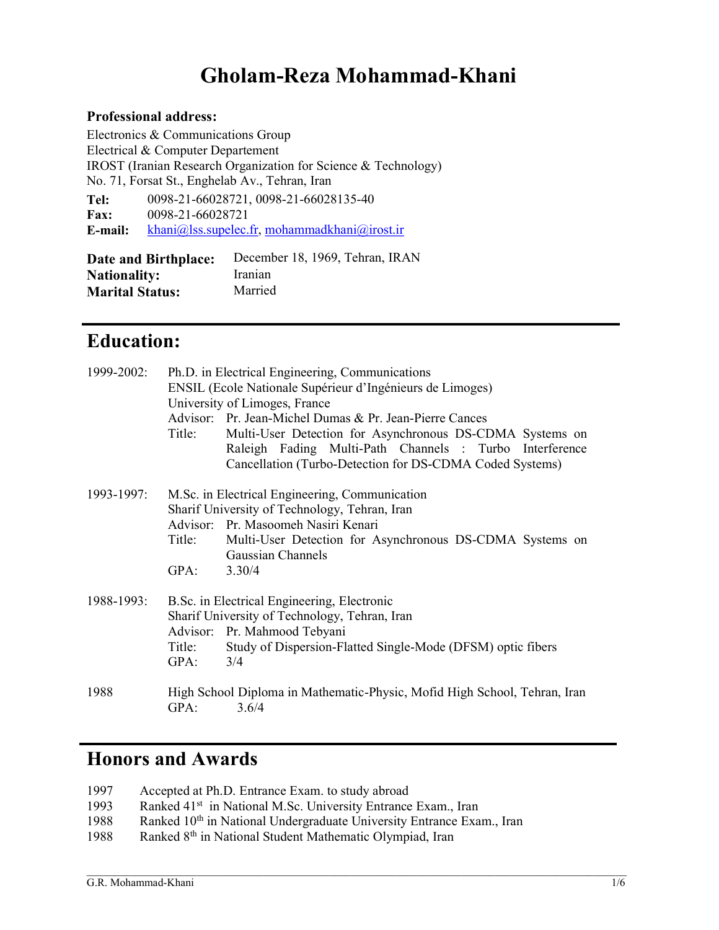# Gholam-Reza Mohammad-Khani

#### Professional address:

Electronics & Communications Group Electrical & Computer Departement IROST (Iranian Research Organization for Science & Technology) No. 71, Forsat St., Enghelab Av., Tehran, Iran Tel: Fax: E-mail: 0098-21-66028721, 0098-21-66028135-40 0098-21-66028721 khani@lss.supelec.fr, mohammadkhani@irost.ir

Date and Birthplace: December 18, 1969, Tehran, IRAN **Nationality:** Iranian<br> **Marital Status:** Married **Marital Status:** 

## Education:

| 1999-2002: | Title:         | Ph.D. in Electrical Engineering, Communications<br>ENSIL (Ecole Nationale Supérieur d'Ingénieurs de Limoges)<br>University of Limoges, France<br>Advisor: Pr. Jean-Michel Dumas & Pr. Jean-Pierre Cances<br>Multi-User Detection for Asynchronous DS-CDMA Systems on<br>Raleigh Fading Multi-Path Channels : Turbo Interference<br>Cancellation (Turbo-Detection for DS-CDMA Coded Systems) |
|------------|----------------|---------------------------------------------------------------------------------------------------------------------------------------------------------------------------------------------------------------------------------------------------------------------------------------------------------------------------------------------------------------------------------------------|
| 1993-1997: | Title:<br>GPA: | M.Sc. in Electrical Engineering, Communication<br>Sharif University of Technology, Tehran, Iran<br>Advisor: Pr. Masoomeh Nasiri Kenari<br>Multi-User Detection for Asynchronous DS-CDMA Systems on<br>Gaussian Channels<br>3.30/4                                                                                                                                                           |
| 1988-1993: | Title:<br>GPA: | B.Sc. in Electrical Engineering, Electronic<br>Sharif University of Technology, Tehran, Iran<br>Advisor: Pr. Mahmood Tebyani<br>Study of Dispersion-Flatted Single-Mode (DFSM) optic fibers<br>3/4                                                                                                                                                                                          |
| 1988       | GPA:           | High School Diploma in Mathematic-Physic, Mofid High School, Tehran, Iran<br>3.6/4                                                                                                                                                                                                                                                                                                          |

## Honors and Awards

| 1997 | Accepted at Ph.D. Entrance Exam. to study abroad |  |  |
|------|--------------------------------------------------|--|--|
|------|--------------------------------------------------|--|--|

- 1993 Ranked 41<sup>st</sup> in National M.Sc. University Entrance Exam., Iran
- 1988 Ranked 10<sup>th</sup> in National Undergraduate University Entrance Exam., Iran

 $\mathcal{L}_\text{max}$ 

1988 Ranked 8<sup>th</sup> in National Student Mathematic Olympiad, Iran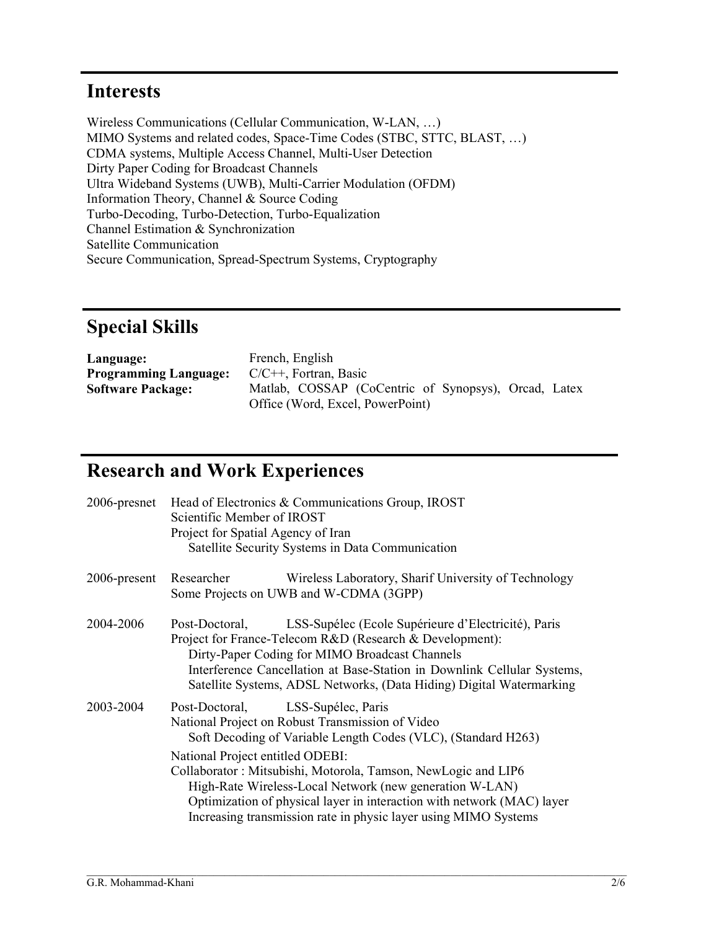## Interests

Wireless Communications (Cellular Communication, W-LAN, …) MIMO Systems and related codes, Space-Time Codes (STBC, STTC, BLAST, …) CDMA systems, Multiple Access Channel, Multi-User Detection Dirty Paper Coding for Broadcast Channels Ultra Wideband Systems (UWB), Multi-Carrier Modulation (OFDM) Information Theory, Channel & Source Coding Turbo-Decoding, Turbo-Detection, Turbo-Equalization Channel Estimation & Synchronization Satellite Communication Secure Communication, Spread-Spectrum Systems, Cryptography

# Special Skills

| Language:                    | French, English                                      |
|------------------------------|------------------------------------------------------|
| <b>Programming Language:</b> | $C/C++$ . Fortran. Basic                             |
| <b>Software Package:</b>     | Matlab, COSSAP (CoCentric of Synopsys), Orcad, Latex |
|                              | Office (Word, Excel, PowerPoint)                     |

## Research and Work Experiences

|                 | 2006-presnet Head of Electronics & Communications Group, IROST<br>Scientific Member of IROST<br>Project for Spatial Agency of Iran<br>Satellite Security Systems in Data Communication                                                                                                                                                 |  |  |  |
|-----------------|----------------------------------------------------------------------------------------------------------------------------------------------------------------------------------------------------------------------------------------------------------------------------------------------------------------------------------------|--|--|--|
|                 |                                                                                                                                                                                                                                                                                                                                        |  |  |  |
| $2006$ -present | Researcher<br>Wireless Laboratory, Sharif University of Technology<br>Some Projects on UWB and W-CDMA (3GPP)                                                                                                                                                                                                                           |  |  |  |
| 2004-2006       | LSS-Supélec (Ecole Supérieure d'Electricité), Paris<br>Post-Doctoral,<br>Project for France-Telecom R&D (Research & Development):<br>Dirty-Paper Coding for MIMO Broadcast Channels<br>Interference Cancellation at Base-Station in Downlink Cellular Systems,<br>Satellite Systems, ADSL Networks, (Data Hiding) Digital Watermarking |  |  |  |
| 2003-2004       | Post-Doctoral, LSS-Supélec, Paris<br>National Project on Robust Transmission of Video<br>Soft Decoding of Variable Length Codes (VLC), (Standard H263)                                                                                                                                                                                 |  |  |  |
|                 | National Project entitled ODEBI:<br>Collaborator: Mitsubishi, Motorola, Tamson, NewLogic and LIP6<br>High-Rate Wireless-Local Network (new generation W-LAN)<br>Optimization of physical layer in interaction with network (MAC) layer<br>Increasing transmission rate in physic layer using MIMO Systems                              |  |  |  |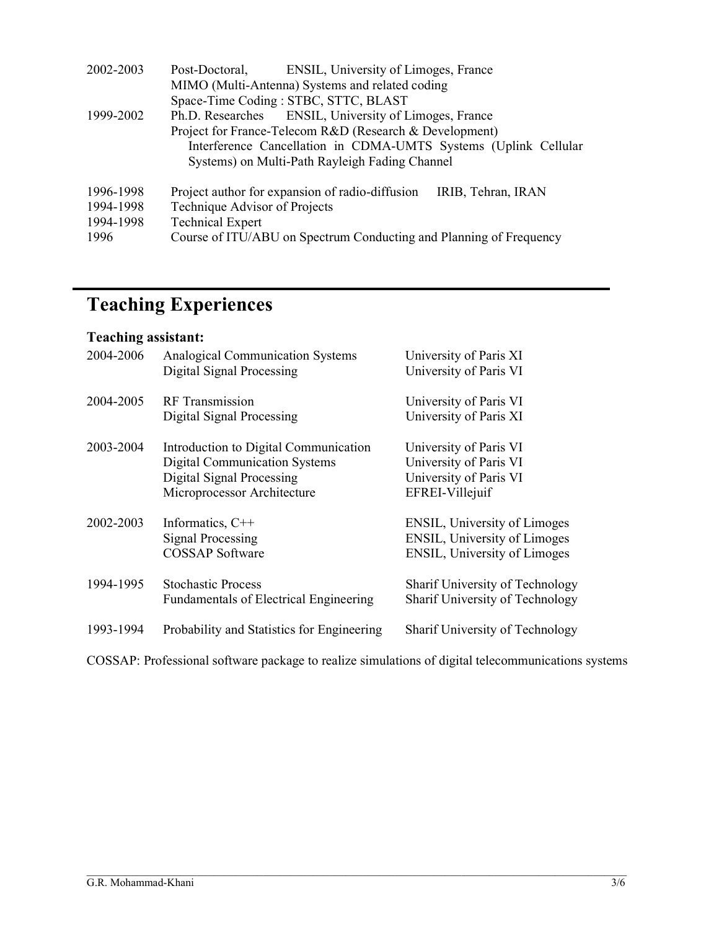| 2002-2003 | Post-Doctoral,                | ENSIL, University of Limoges, France                               |                                                                 |
|-----------|-------------------------------|--------------------------------------------------------------------|-----------------------------------------------------------------|
|           |                               | MIMO (Multi-Antenna) Systems and related coding                    |                                                                 |
|           |                               | Space-Time Coding: STBC, STTC, BLAST                               |                                                                 |
| 1999-2002 |                               | Ph.D. Researches ENSIL, University of Limoges, France              |                                                                 |
|           |                               | Project for France-Telecom R&D (Research & Development)            |                                                                 |
|           |                               |                                                                    | Interference Cancellation in CDMA-UMTS Systems (Uplink Cellular |
|           |                               | Systems) on Multi-Path Rayleigh Fading Channel                     |                                                                 |
| 1996-1998 |                               | Project author for expansion of radio-diffusion                    | IRIB, Tehran, IRAN                                              |
| 1994-1998 | Technique Advisor of Projects |                                                                    |                                                                 |
| 1994-1998 | <b>Technical Expert</b>       |                                                                    |                                                                 |
| 1996      |                               | Course of ITU/ABU on Spectrum Conducting and Planning of Frequency |                                                                 |

# Teaching Experiences

### Teaching assistant:

| 2004-2006 | <b>Analogical Communication Systems</b><br>Digital Signal Processing | University of Paris XI<br>University of Paris VI |
|-----------|----------------------------------------------------------------------|--------------------------------------------------|
| 2004-2005 | <b>RF</b> Transmission                                               | University of Paris VI                           |
|           | Digital Signal Processing                                            | University of Paris XI                           |
| 2003-2004 | Introduction to Digital Communication                                | University of Paris VI                           |
|           | <b>Digital Communication Systems</b>                                 | University of Paris VI                           |
|           | Digital Signal Processing                                            | University of Paris VI                           |
|           | Microprocessor Architecture                                          | EFREI-Villejuif                                  |
| 2002-2003 | Informatics, $C++$                                                   | ENSIL, University of Limoges                     |
|           | <b>Signal Processing</b>                                             | <b>ENSIL, University of Limoges</b>              |
|           | <b>COSSAP</b> Software                                               | ENSIL, University of Limoges                     |
| 1994-1995 | <b>Stochastic Process</b>                                            | Sharif University of Technology                  |
|           | <b>Fundamentals of Electrical Engineering</b>                        | Sharif University of Technology                  |
| 1993-1994 | Probability and Statistics for Engineering                           | Sharif University of Technology                  |

COSSAP: Professional software package to realize simulations of digital telecommunications systems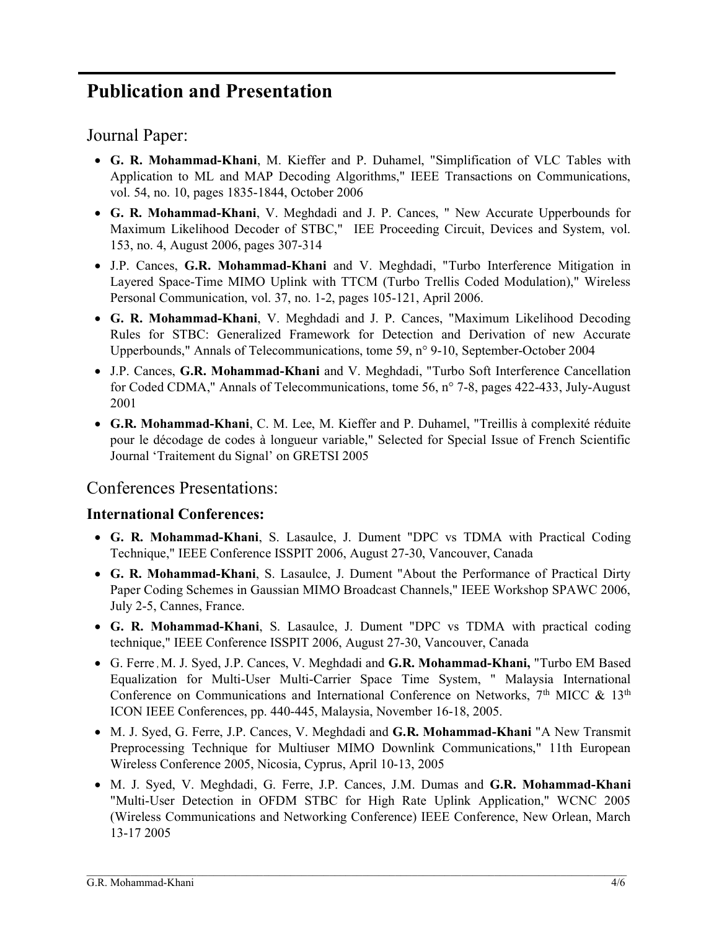# Publication and Presentation

Journal Paper:

- G. R. Mohammad-Khani, M. Kieffer and P. Duhamel, "Simplification of VLC Tables with Application to ML and MAP Decoding Algorithms," IEEE Transactions on Communications, vol. 54, no. 10, pages 1835-1844, October 2006
- G. R. Mohammad-Khani, V. Meghdadi and J. P. Cances, " New Accurate Upperbounds for Maximum Likelihood Decoder of STBC," IEE Proceeding Circuit, Devices and System, vol. 153, no. 4, August 2006, pages 307-314
- J.P. Cances, G.R. Mohammad-Khani and V. Meghdadi, "Turbo Interference Mitigation in Layered Space-Time MIMO Uplink with TTCM (Turbo Trellis Coded Modulation)," Wireless Personal Communication, vol. 37, no. 1-2, pages 105-121, April 2006.
- G. R. Mohammad-Khani, V. Meghdadi and J. P. Cances, "Maximum Likelihood Decoding Rules for STBC: Generalized Framework for Detection and Derivation of new Accurate Upperbounds," Annals of Telecommunications, tome 59, n° 9-10, September-October 2004
- J.P. Cances, G.R. Mohammad-Khani and V. Meghdadi, "Turbo Soft Interference Cancellation for Coded CDMA," Annals of Telecommunications, tome 56, n° 7-8, pages 422-433, July-August 2001
- G.R. Mohammad-Khani, C. M. Lee, M. Kieffer and P. Duhamel, "Treillis à complexité réduite pour le décodage de codes à longueur variable," Selected for Special Issue of French Scientific Journal 'Traitement du Signal' on GRETSI 2005

## Conferences Presentations:

#### International Conferences:

- G. R. Mohammad-Khani, S. Lasaulce, J. Dument "DPC vs TDMA with Practical Coding Technique," IEEE Conference ISSPIT 2006, August 27-30, Vancouver, Canada
- G. R. Mohammad-Khani, S. Lasaulce, J. Dument "About the Performance of Practical Dirty Paper Coding Schemes in Gaussian MIMO Broadcast Channels," IEEE Workshop SPAWC 2006, July 2-5, Cannes, France.
- G. R. Mohammad-Khani, S. Lasaulce, J. Dument "DPC vs TDMA with practical coding technique," IEEE Conference ISSPIT 2006, August 27-30, Vancouver, Canada
- G. Ferre , M. J. Syed, J.P. Cances, V. Meghdadi and G.R. Mohammad-Khani, "Turbo EM Based Equalization for Multi-User Multi-Carrier Space Time System, " Malaysia International Conference on Communications and International Conference on Networks,  $7<sup>th</sup>$  MICC & 13<sup>th</sup> ICON IEEE Conferences, pp. 440-445, Malaysia, November 16-18, 2005.
- M. J. Syed, G. Ferre, J.P. Cances, V. Meghdadi and G.R. Mohammad-Khani "A New Transmit Preprocessing Technique for Multiuser MIMO Downlink Communications," 11th European Wireless Conference 2005, Nicosia, Cyprus, April 10-13, 2005
- M. J. Syed, V. Meghdadi, G. Ferre, J.P. Cances, J.M. Dumas and G.R. Mohammad-Khani "Multi-User Detection in OFDM STBC for High Rate Uplink Application," WCNC 2005 (Wireless Communications and Networking Conference) IEEE Conference, New Orlean, March 13-17 2005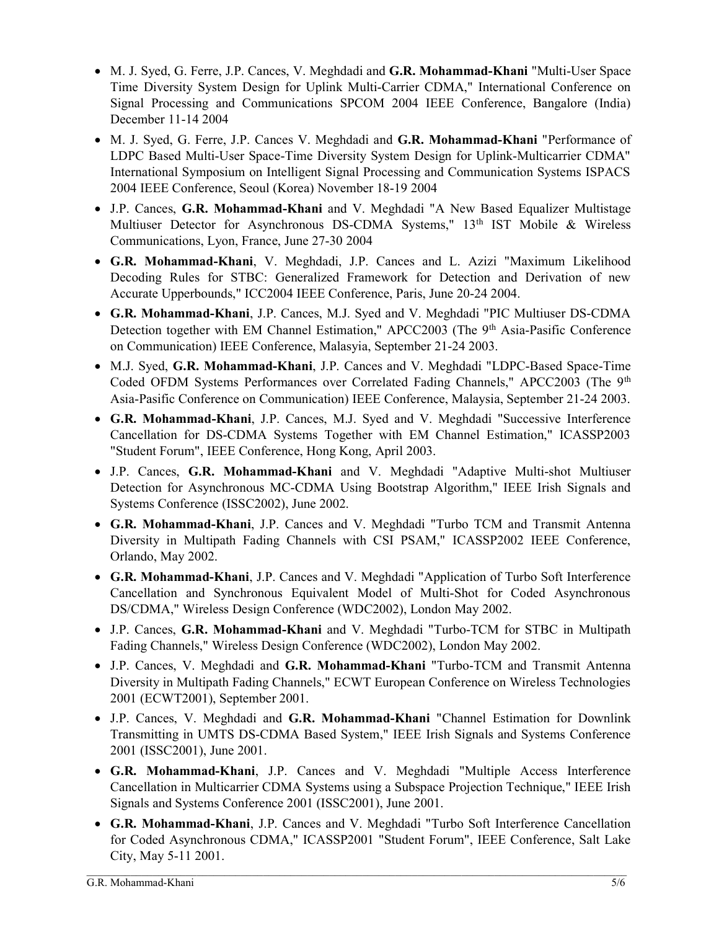- M. J. Syed, G. Ferre, J.P. Cances, V. Meghdadi and G.R. Mohammad-Khani "Multi-User Space Time Diversity System Design for Uplink Multi-Carrier CDMA," International Conference on Signal Processing and Communications SPCOM 2004 IEEE Conference, Bangalore (India) December 11-14 2004
- M. J. Syed, G. Ferre, J.P. Cances V. Meghdadi and G.R. Mohammad-Khani "Performance of LDPC Based Multi-User Space-Time Diversity System Design for Uplink-Multicarrier CDMA" International Symposium on Intelligent Signal Processing and Communication Systems ISPACS 2004 IEEE Conference, Seoul (Korea) November 18-19 2004
- J.P. Cances, G.R. Mohammad-Khani and V. Meghdadi "A New Based Equalizer Multistage Multiuser Detector for Asynchronous DS-CDMA Systems," 13<sup>th</sup> IST Mobile & Wireless Communications, Lyon, France, June 27-30 2004
- G.R. Mohammad-Khani, V. Meghdadi, J.P. Cances and L. Azizi "Maximum Likelihood Decoding Rules for STBC: Generalized Framework for Detection and Derivation of new Accurate Upperbounds," ICC2004 IEEE Conference, Paris, June 20-24 2004.
- G.R. Mohammad-Khani, J.P. Cances, M.J. Syed and V. Meghdadi "PIC Multiuser DS-CDMA Detection together with EM Channel Estimation," APCC2003 (The 9<sup>th</sup> Asia-Pasific Conference on Communication) IEEE Conference, Malasyia, September 21-24 2003.
- M.J. Syed, G.R. Mohammad-Khani, J.P. Cances and V. Meghdadi "LDPC-Based Space-Time Coded OFDM Systems Performances over Correlated Fading Channels," APCC2003 (The 9<sup>th</sup> Asia-Pasific Conference on Communication) IEEE Conference, Malaysia, September 21-24 2003.
- G.R. Mohammad-Khani, J.P. Cances, M.J. Syed and V. Meghdadi "Successive Interference Cancellation for DS-CDMA Systems Together with EM Channel Estimation," ICASSP2003 "Student Forum", IEEE Conference, Hong Kong, April 2003.
- J.P. Cances, G.R. Mohammad-Khani and V. Meghdadi "Adaptive Multi-shot Multiuser Detection for Asynchronous MC-CDMA Using Bootstrap Algorithm," IEEE Irish Signals and Systems Conference (ISSC2002), June 2002.
- G.R. Mohammad-Khani, J.P. Cances and V. Meghdadi "Turbo TCM and Transmit Antenna Diversity in Multipath Fading Channels with CSI PSAM," ICASSP2002 IEEE Conference, Orlando, May 2002.
- G.R. Mohammad-Khani, J.P. Cances and V. Meghdadi "Application of Turbo Soft Interference Cancellation and Synchronous Equivalent Model of Multi-Shot for Coded Asynchronous DS/CDMA," Wireless Design Conference (WDC2002), London May 2002.
- J.P. Cances, G.R. Mohammad-Khani and V. Meghdadi "Turbo-TCM for STBC in Multipath Fading Channels," Wireless Design Conference (WDC2002), London May 2002.
- J.P. Cances, V. Meghdadi and G.R. Mohammad-Khani "Turbo-TCM and Transmit Antenna Diversity in Multipath Fading Channels," ECWT European Conference on Wireless Technologies 2001 (ECWT2001), September 2001.
- J.P. Cances, V. Meghdadi and G.R. Mohammad-Khani "Channel Estimation for Downlink Transmitting in UMTS DS-CDMA Based System," IEEE Irish Signals and Systems Conference 2001 (ISSC2001), June 2001.
- G.R. Mohammad-Khani, J.P. Cances and V. Meghdadi "Multiple Access Interference Cancellation in Multicarrier CDMA Systems using a Subspace Projection Technique," IEEE Irish Signals and Systems Conference 2001 (ISSC2001), June 2001.
- G.R. Mohammad-Khani, J.P. Cances and V. Meghdadi "Turbo Soft Interference Cancellation for Coded Asynchronous CDMA," ICASSP2001 "Student Forum", IEEE Conference, Salt Lake City, May 5-11 2001.